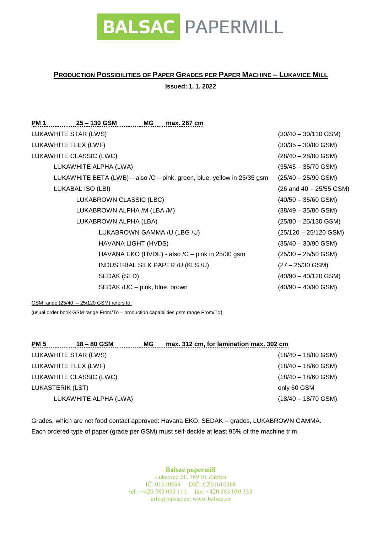

# **PRODUCTION POSSIBILITIES OF PAPER GRADES PER PAPER MACHINE – LUKAVICE MILL**

**Issued: 1. 1. 2022**

| <b>PM 1</b>             | 25 – 130 GSM                  | MG | max. 267 cm                                     |                                                                         |                             |
|-------------------------|-------------------------------|----|-------------------------------------------------|-------------------------------------------------------------------------|-----------------------------|
| LUKAWHITE STAR (LWS)    |                               |    |                                                 |                                                                         | $(30/40 - 30/110$ GSM)      |
| LUKAWHITE FLEX (LWF)    |                               |    |                                                 |                                                                         | $(30/35 - 30/80$ GSM)       |
| LUKAWHITE CLASSIC (LWC) |                               |    |                                                 |                                                                         | $(28/40 - 28/80$ GSM)       |
|                         | LUKAWHITE ALPHA (LWA)         |    |                                                 |                                                                         | $(35/45 - 35/70$ GSM)       |
|                         |                               |    |                                                 | LUKAWHITE BETA (LWB) – also /C – pink, green, blue, yellow in 25/35 gsm | $(25/40 - 25/90$ GSM)       |
| LUKABAL ISO (LBI)       |                               |    |                                                 |                                                                         | $(26$ and $40 - 25/55$ GSM) |
|                         | LUKABROWN CLASSIC (LBC)       |    |                                                 |                                                                         | $(40/50 - 35/60$ GSM)       |
|                         | LUKABROWN ALPHA /M (LBA /M)   |    |                                                 |                                                                         | $(38/49 - 35/80$ GSM)       |
|                         | LUKABROWN ALPHA (LBA)         |    |                                                 |                                                                         | $(25/80 - 25/130$ GSM)      |
|                         | LUKABROWN GAMMA /U (LBG /U)   |    |                                                 |                                                                         | $(25/120 - 25/120$ GSM)     |
|                         | HAVANA LIGHT (HVDS)           |    |                                                 |                                                                         | $(35/40 - 30/90$ GSM)       |
|                         |                               |    | HAVANA EKO (HVDE) - also /C – pink in 25/30 gsm |                                                                         | $(25/30 - 25/50$ GSM)       |
|                         |                               |    | INDUSTRIAL SILK PAPER /U (KLS /U)               |                                                                         | $(27 - 25/30$ GSM)          |
|                         | SEDAK (SED)                   |    |                                                 |                                                                         | $(40/90 - 40/120$ GSM)      |
|                         | SEDAK /UC - pink, blue, brown |    |                                                 |                                                                         | $(40/90 - 40/90$ GSM)       |

GSM range (25/40 – 25/120 GSM) refers to:

(usual order book GSM range From/To – production capabilities gsm range From/To)

| <b>PM 5</b><br>$18 - 80$ GSM | MG | max. 312 cm, for lamination max. 302 cm |
|------------------------------|----|-----------------------------------------|
| LUKAWHITE STAR (LWS)         |    | $(18/40 - 18/80$ GSM)                   |
| LUKAWHITE FLEX (LWF)         |    | $(18/40 - 18/60$ GSM)                   |
| LUKAWHITE CLASSIC (LWC)      |    | $(18/40 - 18/60$ GSM)                   |
| LUKASTERIK (LST)             |    | only 60 GSM                             |
| LUKAWHITE ALPHA (LWA)        |    | $(18/40 - 18/70$ GSM)                   |

Grades, which are not food contact approved: Havana EKO, SEDAK – grades, LUKABROWN GAMMA. Each ordered type of paper (grade per GSM) must self-deckle at least 95% of the machine trim.

> **Balsac papermill**  Lukavice 21, 789 01 Zábřeh IČ: 01610368 DIČ: CZ01610368 tel.: +420 583 030 111 fax: +420 583 030 333 info@balsac.cz, www.balsac.cz